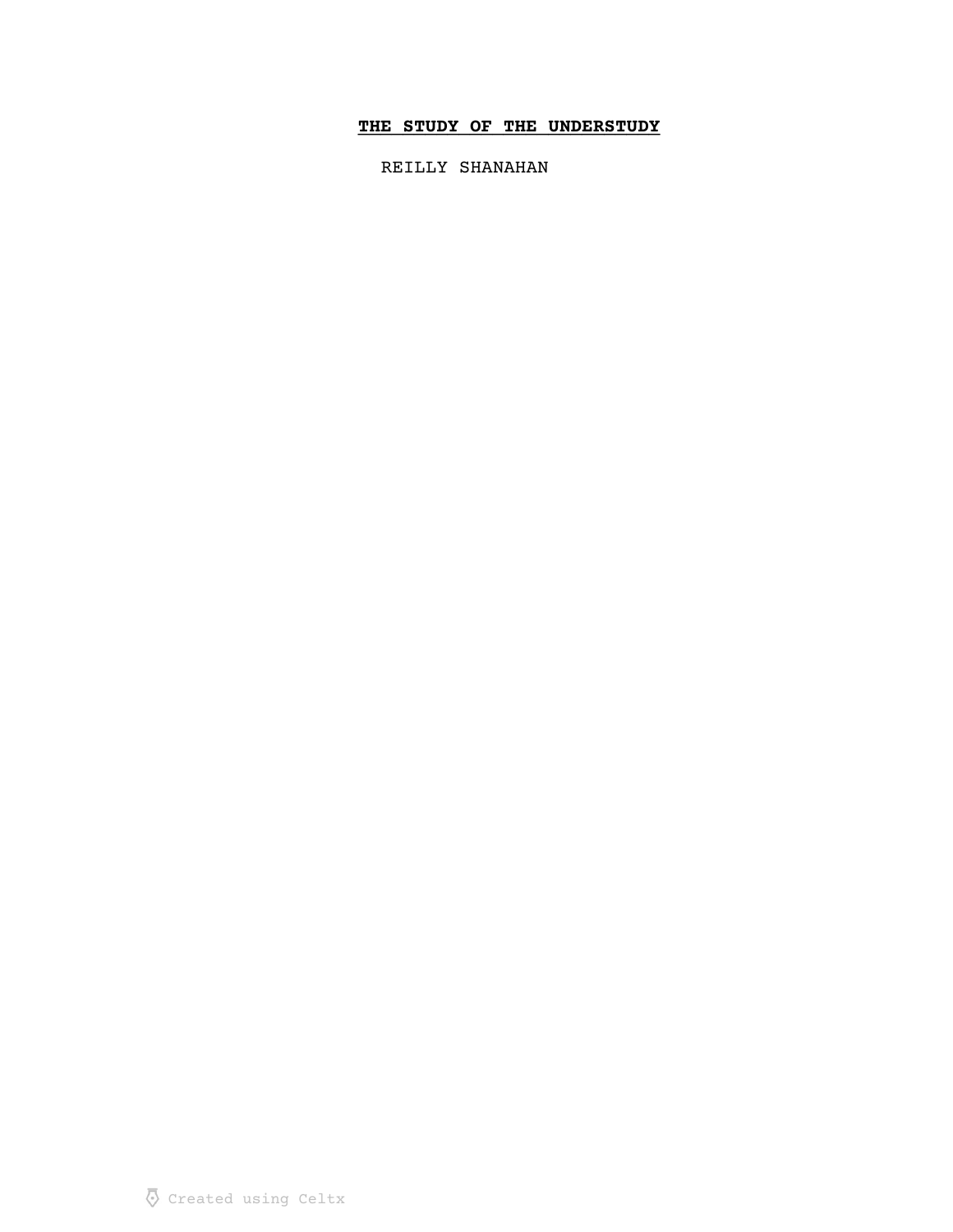# THE STUDY OF THE UNDERSTUDY

REILLY SHANAHAN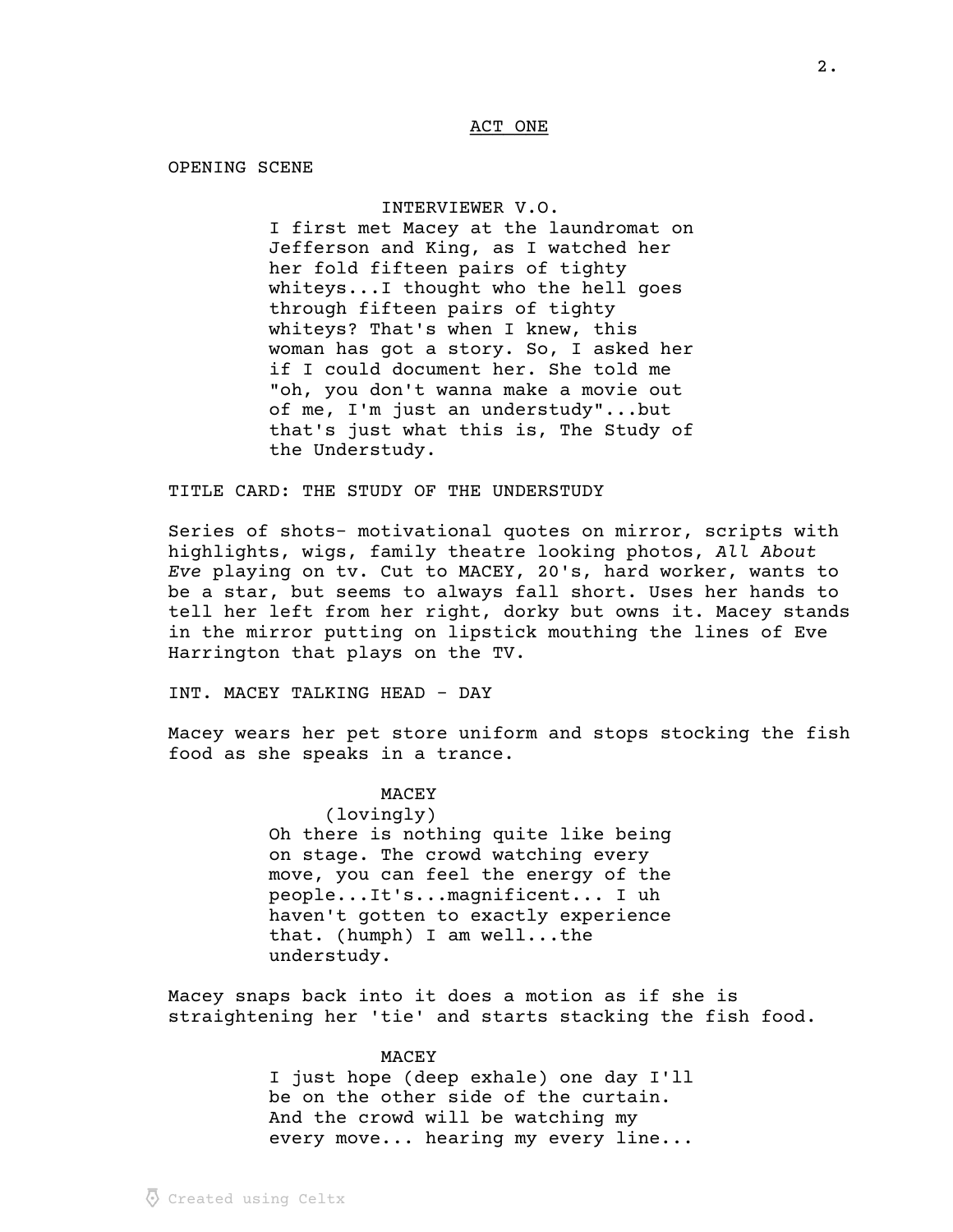### ACT ONE

OPENING SCENE

#### INTERVIEWER V.O.

I first met Macey at the laundromat on Jefferson and King, as I watched her her fold fifteen pairs of tighty whiteys...I thought who the hell goes through fifteen pairs of tighty whiteys? That's when I knew, this woman has got a story. So, I asked her if I could document her. She told me "oh, you don't wanna make a movie out of me, I'm just an understudy"...but that's just what this is, The Study of the Understudy.

TITLE CARD: THE STUDY OF THE UNDERSTUDY

Series of shots- motivational quotes on mirror, scripts with highlights, wigs, family theatre looking photos, All About Eve playing on tv. Cut to MACEY, 20's, hard worker, wants to be a star, but seems to always fall short. Uses her hands to tell her left from her right, dorky but owns it. Macey stands in the mirror putting on lipstick mouthing the lines of Eve Harrington that plays on the TV.

INT. MACEY TALKING HEAD - DAY

Macey wears her pet store uniform and stops stocking the fish food as she speaks in a trance.

#### **MACEY**

(lovingly) Oh there is nothing quite like being on stage. The crowd watching every move, you can feel the energy of the people...It's...magnificent... I uh haven't gotten to exactly experience that. (humph) I am well...the understudy.

Macey snaps back into it does a motion as if she is straightening her 'tie' and starts stacking the fish food.

### MACEY

I just hope (deep exhale) one day I'll be on the other side of the curtain. And the crowd will be watching my every move... hearing my every line...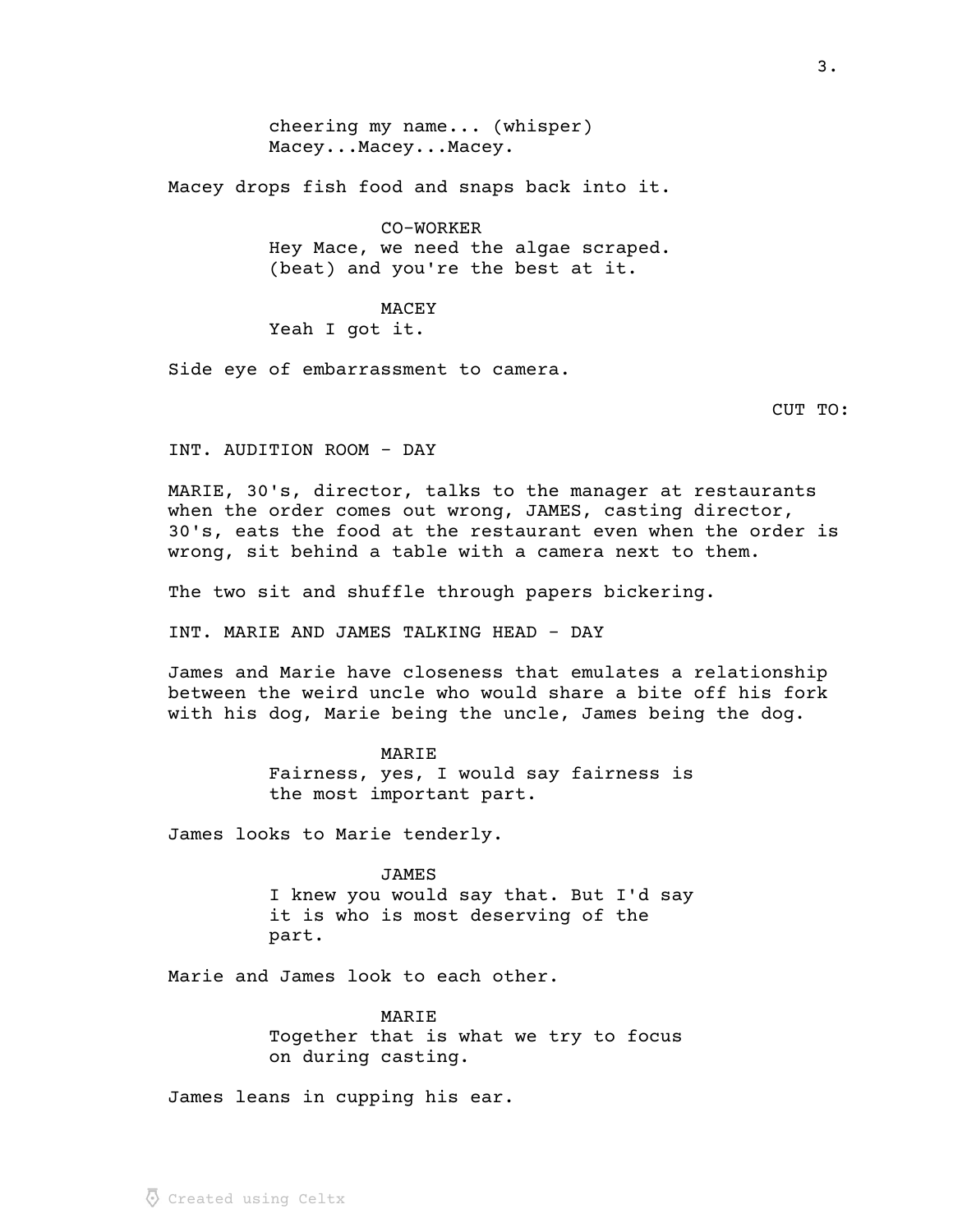cheering my name... (whisper) Macey...Macey...Macey.

Macey drops fish food and snaps back into it.

CO-WORKER Hey Mace, we need the algae scraped. (beat) and you're the best at it.

MACEY Yeah I got it.

Side eye of embarrassment to camera.

CUT TO:

INT. AUDITION ROOM - DAY

MARIE, 30's, director, talks to the manager at restaurants when the order comes out wrong, JAMES, casting director, 30's, eats the food at the restaurant even when the order is wrong, sit behind a table with a camera next to them.

The two sit and shuffle through papers bickering.

INT. MARIE AND JAMES TALKING HEAD - DAY

James and Marie have closeness that emulates a relationship between the weird uncle who would share a bite off his fork with his dog, Marie being the uncle, James being the dog.

> MARIE Fairness, yes, I would say fairness is the most important part.

James looks to Marie tenderly.

JAMES I knew you would say that. But I'd say it is who is most deserving of the part.

Marie and James look to each other.

MARIE Together that is what we try to focus on during casting.

James leans in cupping his ear.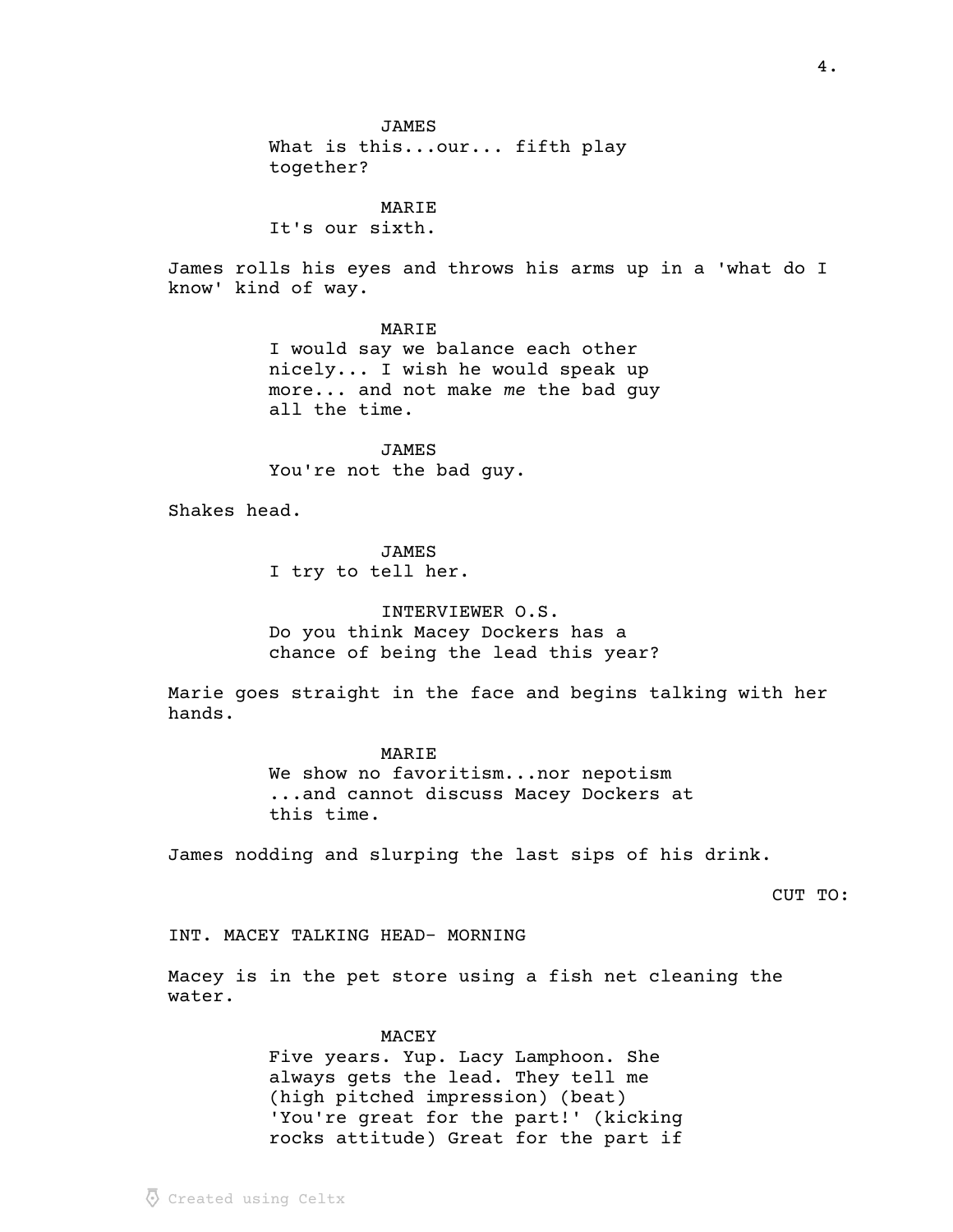What is this...our... fifth play together?

MARIE

It's our sixth.

James rolls his eyes and throws his arms up in a 'what do I know' kind of way.

MARIE

I would say we balance each other nicely... I wish he would speak up  $more...$  and not make me the bad guy all the time.

JAMES You're not the bad guy.

Shakes head.

JAMES

I try to tell her.

INTERVIEWER O.S.

Do you think Macey Dockers has a chance of being the lead this year?

Marie goes straight in the face and begins talking with her hands.

> MARIE We show no favoritism...nor nepotism ...and cannot discuss Macey Dockers at this time.

James nodding and slurping the last sips of his drink.

CUT TO:

INT. MACEY TALKING HEAD- MORNING

Macey is in the pet store using a fish net cleaning the water.

#### MACEY

Five years. Yup. Lacy Lamphoon. She always gets the lead. They tell me (high pitched impression) (beat) 'You're great for the part!' (kicking rocks attitude) Great for the part if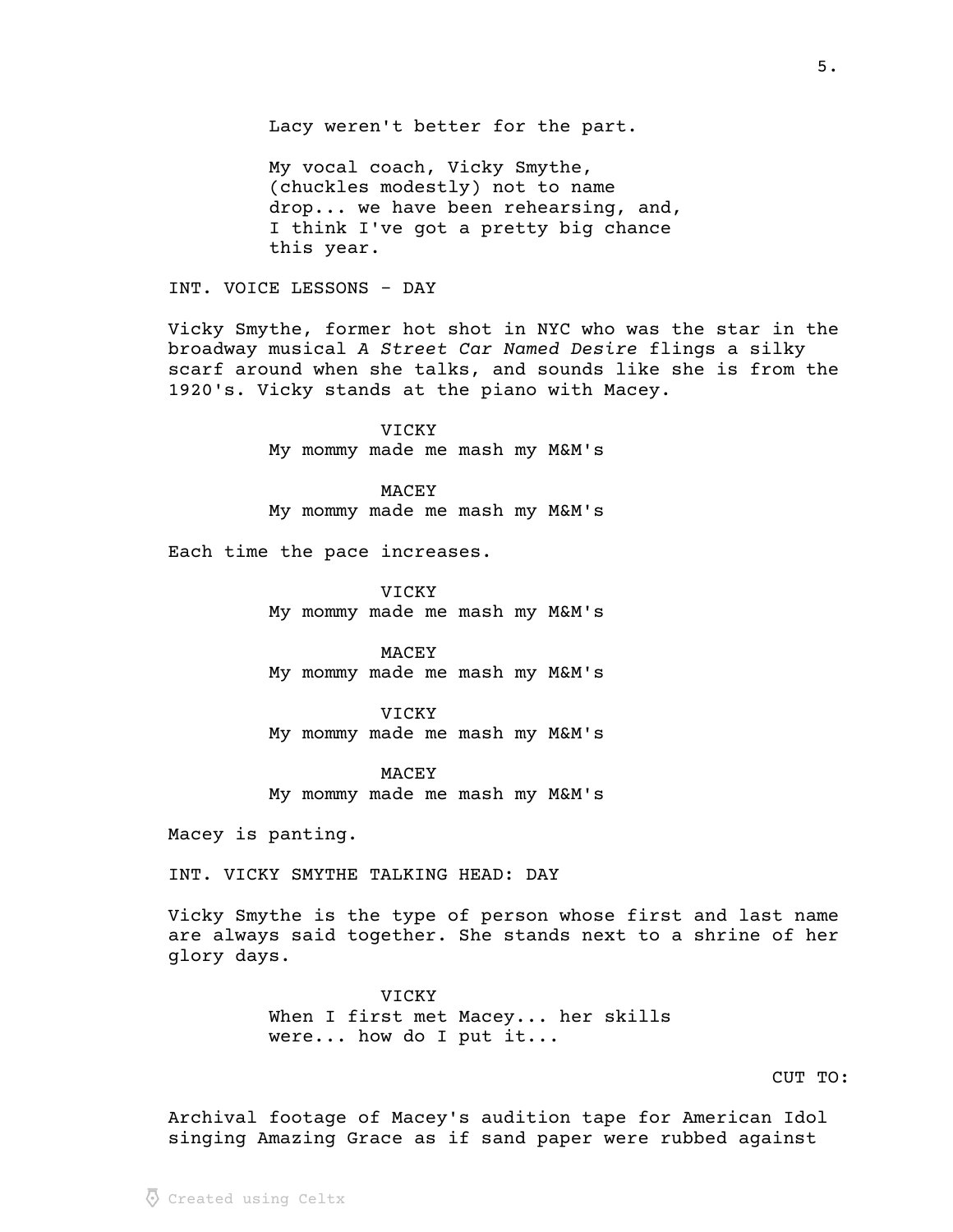Lacy weren't better for the part.

My vocal coach, Vicky Smythe, (chuckles modestly) not to name drop... we have been rehearsing, and, I think I've got a pretty big chance this year.

INT. VOICE LESSONS - DAY

Vicky Smythe, former hot shot in NYC who was the star in the broadway musical A Street Car Named Desire flings a silky scarf around when she talks, and sounds like she is from the 1920's. Vicky stands at the piano with Macey.

> VICKY My mommy made me mash my M&M's

> MACEY My mommy made me mash my M&M's

Each time the pace increases.

VICKY My mommy made me mash my M&M's

MACEY My mommy made me mash my M&M's

VICKY My mommy made me mash my M&M's

MACEY My mommy made me mash my M&M's

Macey is panting.

INT. VICKY SMYTHE TALKING HEAD: DAY

Vicky Smythe is the type of person whose first and last name are always said together. She stands next to a shrine of her glory days.

> VICKY When I first met Macey... her skills were... how do I put it...

CUT TO:

Archival footage of Macey's audition tape for American Idol singing Amazing Grace as if sand paper were rubbed against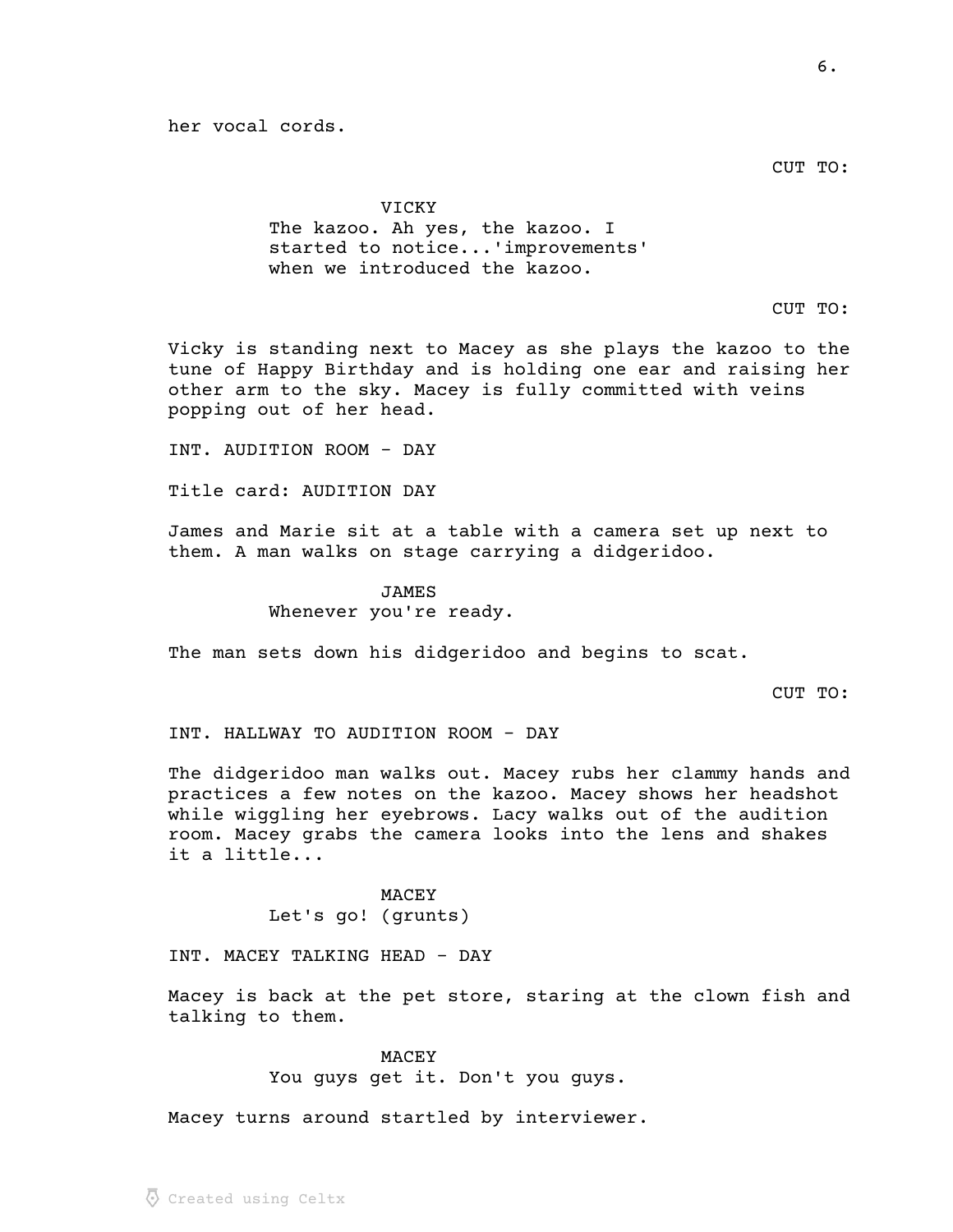her vocal cords.

CUT TO:

### VICKY

The kazoo. Ah yes, the kazoo. I started to notice...'improvements' when we introduced the kazoo.

# CUT TO:

Vicky is standing next to Macey as she plays the kazoo to the tune of Happy Birthday and is holding one ear and raising her other arm to the sky. Macey is fully committed with veins popping out of her head.

INT. AUDITION ROOM - DAY

Title card: AUDITION DAY

James and Marie sit at a table with a camera set up next to them. A man walks on stage carrying a didgeridoo.

> JAMES Whenever you're ready.

The man sets down his didgeridoo and begins to scat.

CUT TO:

INT. HALLWAY TO AUDITION ROOM - DAY

The didgeridoo man walks out. Macey rubs her clammy hands and practices a few notes on the kazoo. Macey shows her headshot while wiggling her eyebrows. Lacy walks out of the audition room. Macey grabs the camera looks into the lens and shakes it a little...

> MACEY Let's go! (grunts)

INT. MACEY TALKING HEAD - DAY

Macey is back at the pet store, staring at the clown fish and talking to them.

MACEY

You guys get it. Don't you guys.

Macey turns around startled by interviewer.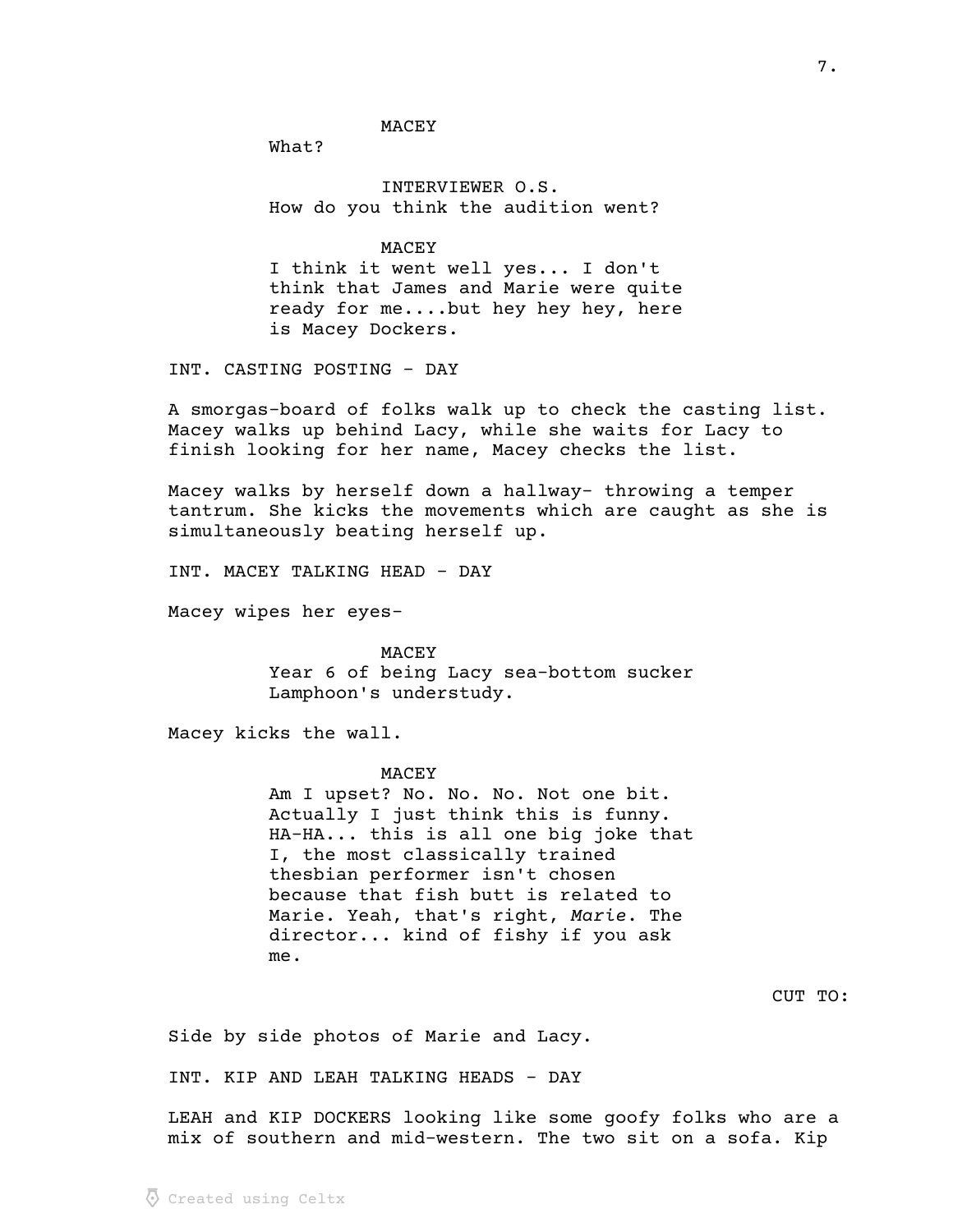MACEY

What?

INTERVIEWER O.S. How do you think the audition went?

**MACEY** 

I think it went well yes... I don't think that James and Marie were quite ready for me....but hey hey hey, here is Macey Dockers.

INT. CASTING POSTING - DAY

A smorgas-board of folks walk up to check the casting list. Macey walks up behind Lacy, while she waits for Lacy to finish looking for her name, Macey checks the list.

Macey walks by herself down a hallway- throwing a temper tantrum. She kicks the movements which are caught as she is simultaneously beating herself up.

INT. MACEY TALKING HEAD - DAY

Macey wipes her eyes-

MACEY Year 6 of being Lacy sea-bottom sucker Lamphoon's understudy.

Macey kicks the wall.

#### MACEY

Am I upset? No. No. No. Not one bit. Actually I just think this is funny. HA-HA... this is all one big joke that I, the most classically trained thesbian performer isn't chosen because that fish butt is related to Marie. Yeah, that's right, Marie. The director... kind of fishy if you ask me.

CUT TO:

Side by side photos of Marie and Lacy.

INT. KIP AND LEAH TALKING HEADS - DAY

LEAH and KIP DOCKERS looking like some goofy folks who are a mix of southern and mid-western. The two sit on a sofa. Kip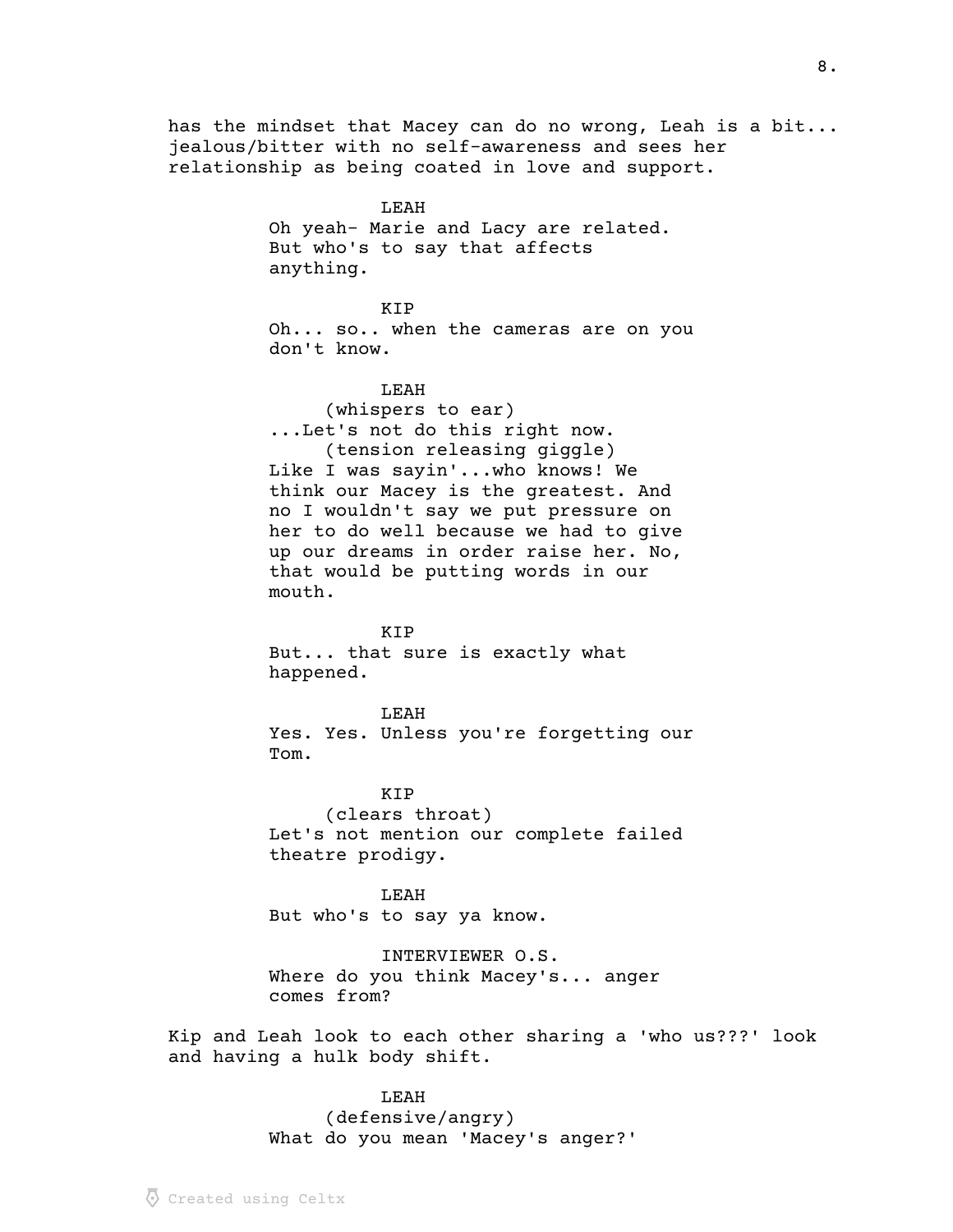has the mindset that Macey can do no wrong, Leah is a bit... jealous/bitter with no self-awareness and sees her relationship as being coated in love and support.

> LEAH Oh yeah- Marie and Lacy are related. But who's to say that affects anything.

## KIP

Oh... so.. when the cameras are on you don't know.

### LEAH

(whispers to ear) ...Let's not do this right now. (tension releasing giggle) Like I was sayin'...who knows! We think our Macey is the greatest. And no I wouldn't say we put pressure on her to do well because we had to give up our dreams in order raise her. No, that would be putting words in our mouth.

#### KIP

But... that sure is exactly what happened.

#### LEAH

Yes. Yes. Unless you're forgetting our Tom.

KIP (clears throat) Let's not mention our complete failed theatre prodigy.

LEAH But who's to say ya know.

INTERVIEWER O.S. Where do you think Macey's... anger comes from?

Kip and Leah look to each other sharing a 'who us???' look and having a hulk body shift.

### LEAH

(defensive/angry) What do you mean 'Macey's anger?'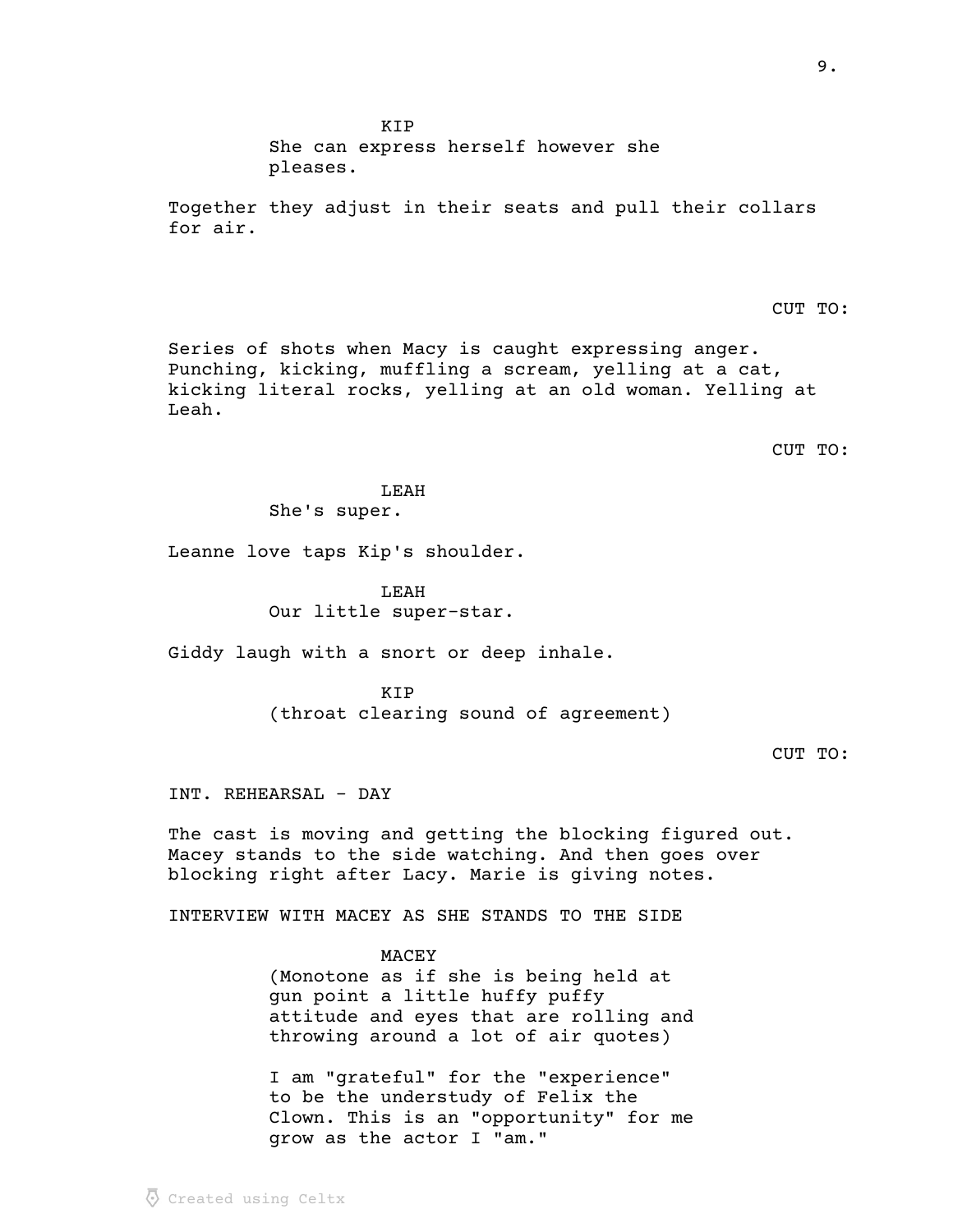Created using Celtx

KIP She can express herself however she pleases.

Together they adjust in their seats and pull their collars for air.

CUT TO:

Series of shots when Macy is caught expressing anger. Punching, kicking, muffling a scream, yelling at a cat, kicking literal rocks, yelling at an old woman. Yelling at Leah.

CUT TO:

LEAH She's super.

Leanne love taps Kip's shoulder.

LEAH Our little super-star.

Giddy laugh with a snort or deep inhale.

KIP (throat clearing sound of agreement)

CUT TO:

INT. REHEARSAL - DAY

The cast is moving and getting the blocking figured out. Macey stands to the side watching. And then goes over blocking right after Lacy. Marie is giving notes.

INTERVIEW WITH MACEY AS SHE STANDS TO THE SIDE

MACEY (Monotone as if she is being held at gun point a little huffy puffy attitude and eyes that are rolling and throwing around a lot of air quotes)

I am "grateful" for the "experience" to be the understudy of Felix the Clown. This is an "opportunity" for me grow as the actor I "am."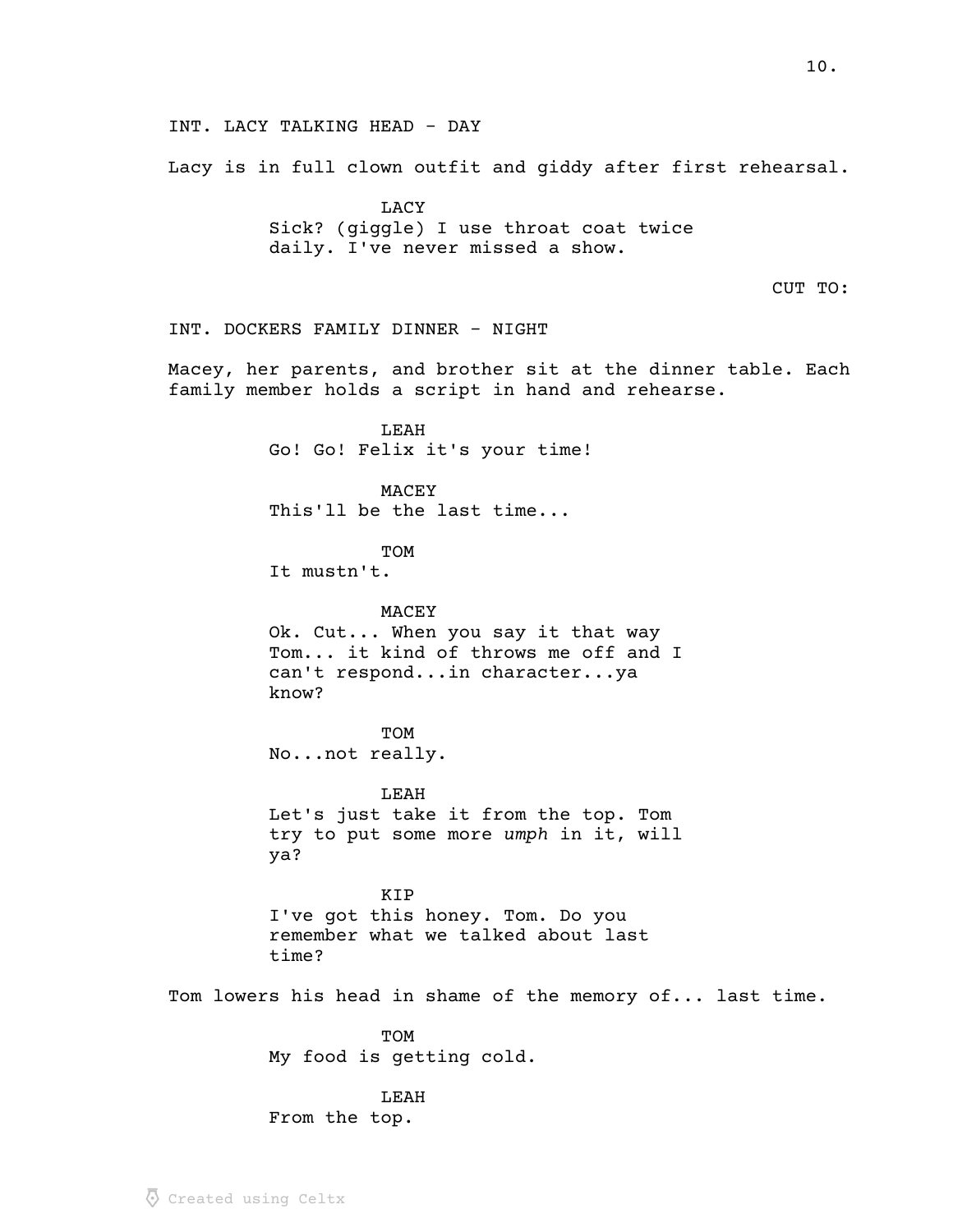INT. LACY TALKING HEAD - DAY Lacy is in full clown outfit and giddy after first rehearsal. **LACY** Sick? (giggle) I use throat coat twice daily. I've never missed a show. CUT TO: INT. DOCKERS FAMILY DINNER - NIGHT Macey, her parents, and brother sit at the dinner table. Each family member holds a script in hand and rehearse. LEAH Go! Go! Felix it's your time! MACEY This'll be the last time... **TOM** It mustn't. MACEY Ok. Cut... When you say it that way Tom... it kind of throws me off and I can't respond...in character...ya know? TOM No...not really. LEAH Let's just take it from the top. Tom try to put some more umph in it, will ya? KIP I've got this honey. Tom. Do you remember what we talked about last time? Tom lowers his head in shame of the memory of... last time. TOM My food is getting cold. LEAH From the top.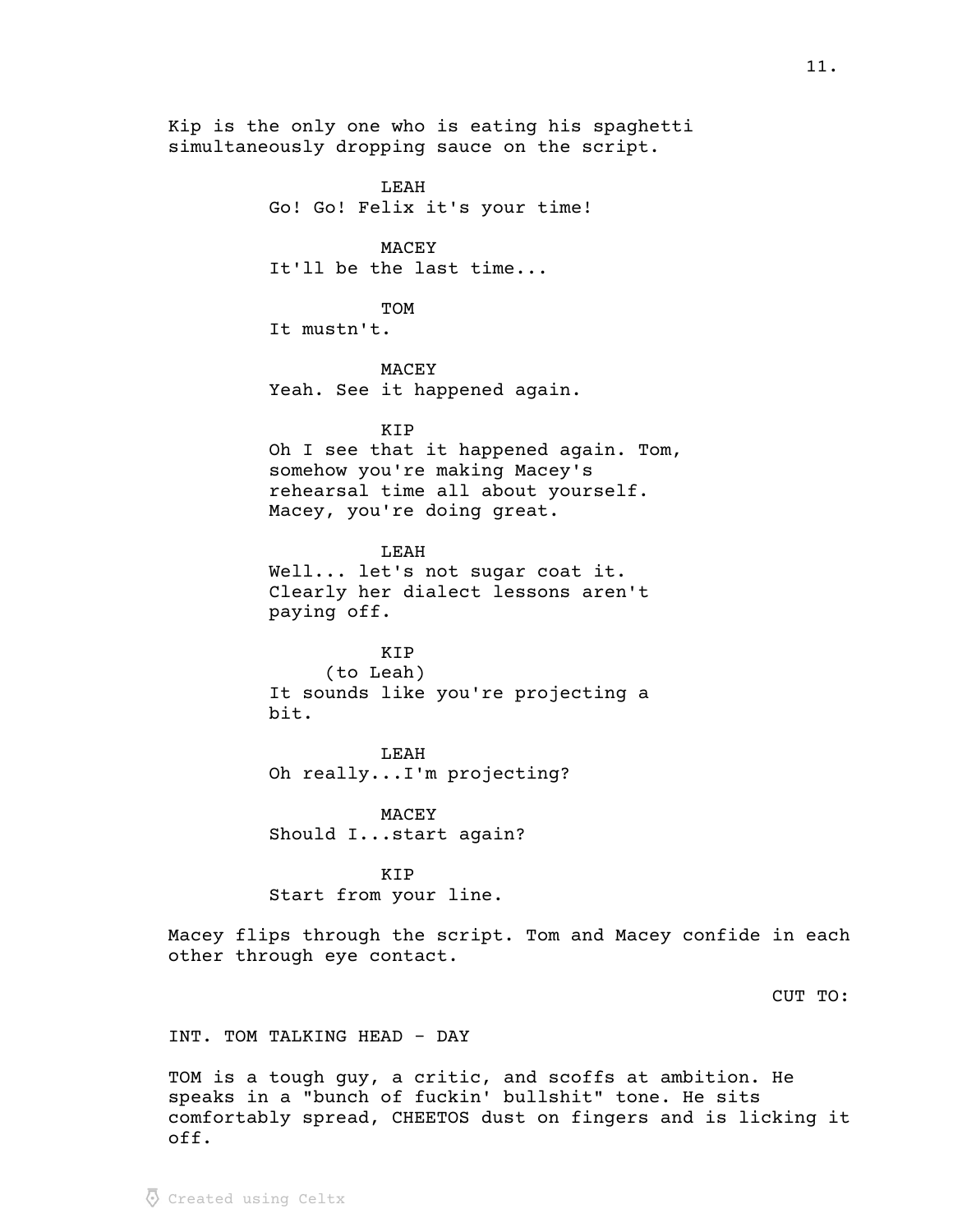Kip is the only one who is eating his spaghetti simultaneously dropping sauce on the script.

> LEAH Go! Go! Felix it's your time!

> > **MACEY**

It'll be the last time...

TOM

It mustn't.

MACEY Yeah. See it happened again.

KIP

Oh I see that it happened again. Tom, somehow you're making Macey's rehearsal time all about yourself. Macey, you're doing great.

LEAH Well... let's not sugar coat it. Clearly her dialect lessons aren't paying off.

KIP (to Leah) It sounds like you're projecting a bit.

LEAH Oh really...I'm projecting?

MACEY Should I...start again?

KIP Start from your line.

Macey flips through the script. Tom and Macey confide in each other through eye contact.

CUT TO:

INT. TOM TALKING HEAD - DAY

TOM is a tough guy, a critic, and scoffs at ambition. He speaks in a "bunch of fuckin' bullshit" tone. He sits comfortably spread, CHEETOS dust on fingers and is licking it off.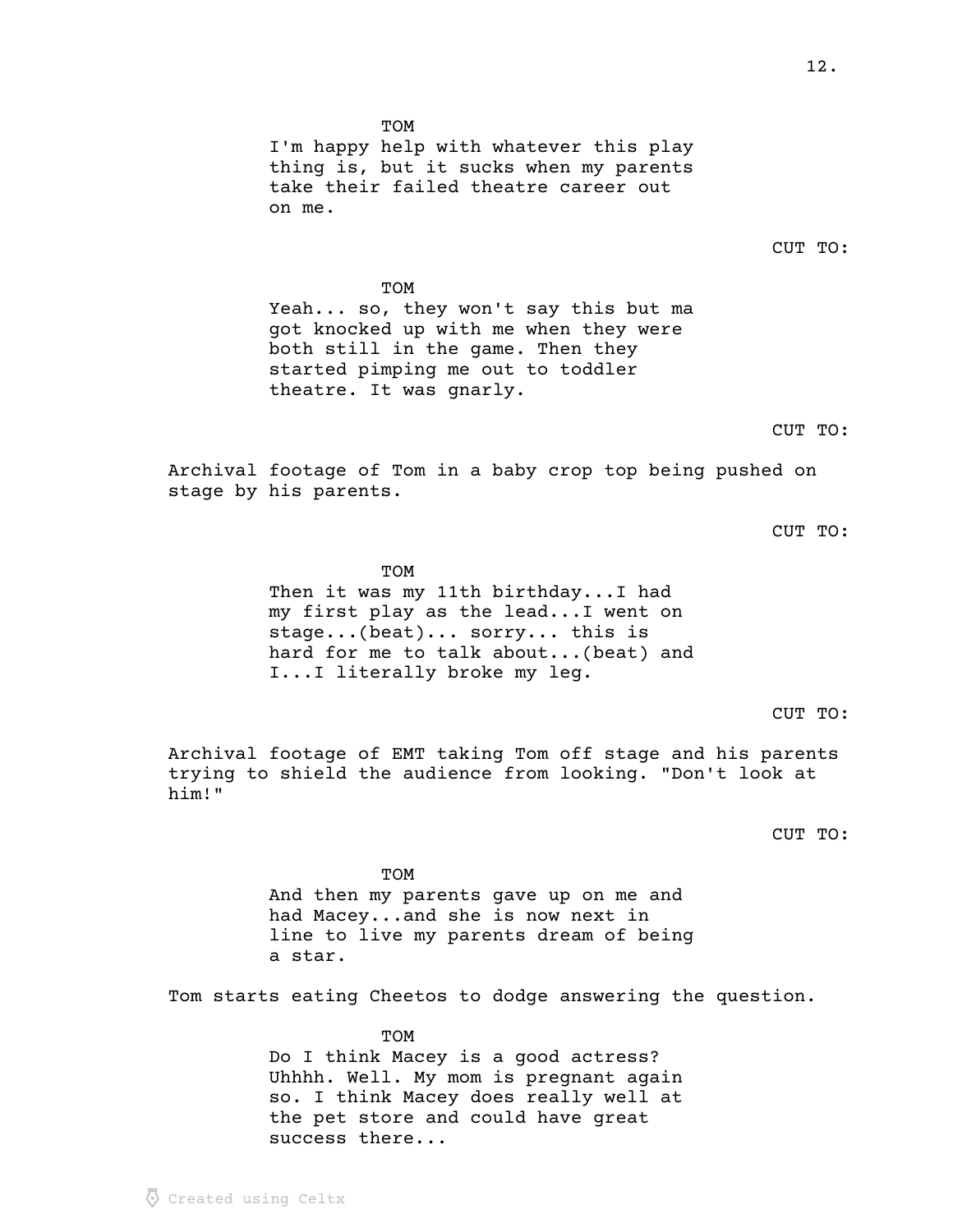TOM I'm happy help with whatever this play thing is, but it sucks when my parents take their failed theatre career out on me.

CUT TO:

TOM Yeah... so, they won't say this but ma got knocked up with me when they were both still in the game. Then they started pimping me out to toddler theatre. It was gnarly.

CUT TO:

Archival footage of Tom in a baby crop top being pushed on stage by his parents.

CUT TO:

TOM Then it was my 11th birthday...I had my first play as the lead...I went on stage...(beat)... sorry... this is hard for me to talk about...(beat) and I...I literally broke my leg.

CUT TO:

Archival footage of EMT taking Tom off stage and his parents trying to shield the audience from looking. "Don't look at him!"

CUT TO:

TOM And then my parents gave up on me and had Macey...and she is now next in line to live my parents dream of being a star.

Tom starts eating Cheetos to dodge answering the question.

TOM Do I think Macey is a good actress? Uhhhh. Well. My mom is pregnant again so. I think Macey does really well at the pet store and could have great success there...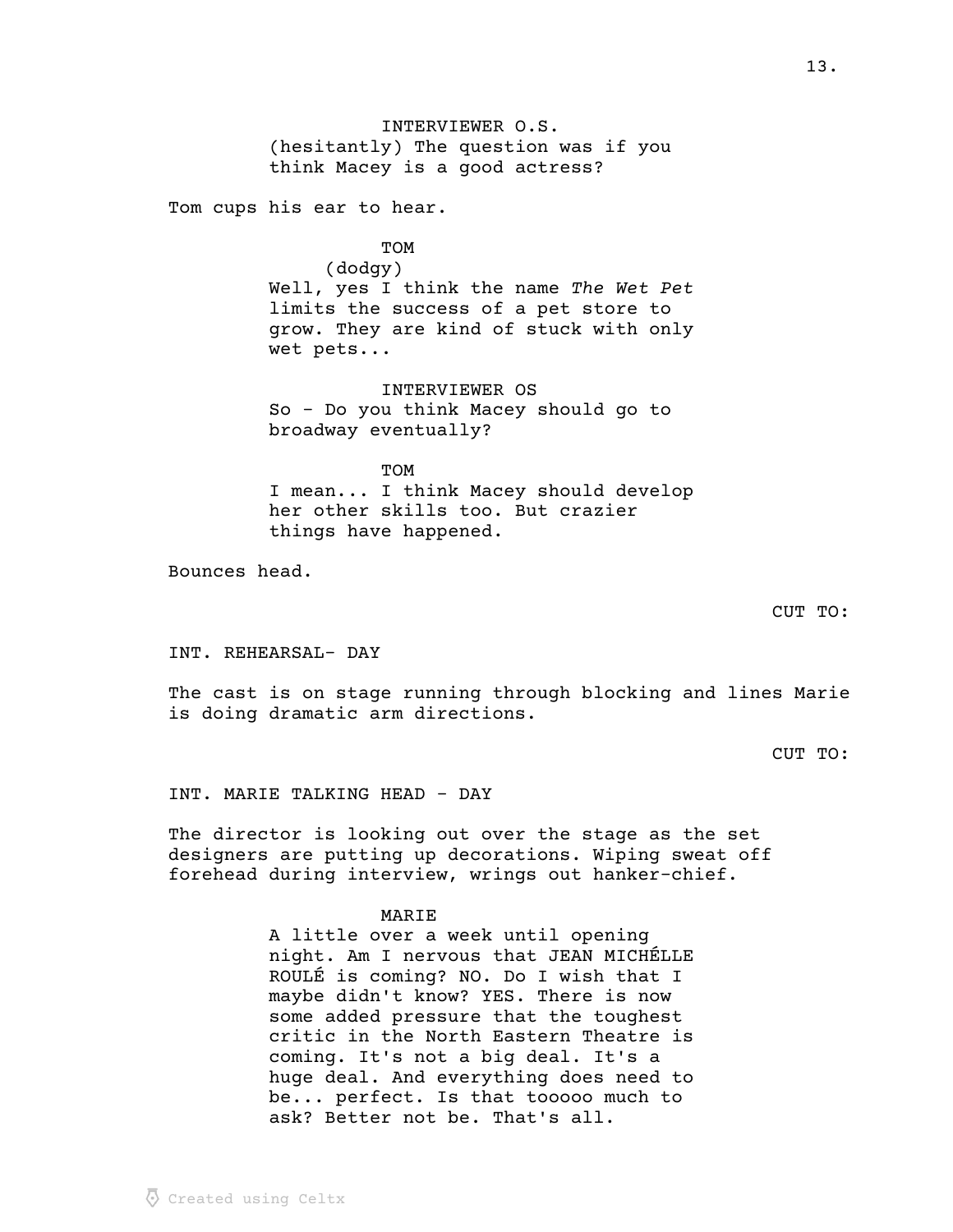INTERVIEWER O.S. (hesitantly) The question was if you think Macey is a good actress?

Tom cups his ear to hear.

**TOM** 

(dodgy) Well, yes I think the name The Wet Pet limits the success of a pet store to grow. They are kind of stuck with only wet pets...

INTERVIEWER OS So - Do you think Macey should go to broadway eventually?

**TOM** I mean... I think Macey should develop her other skills too. But crazier things have happened.

Bounces head.

CUT TO:

INT. REHEARSAL- DAY

The cast is on stage running through blocking and lines Marie is doing dramatic arm directions.

CUT TO:

INT. MARIE TALKING HEAD - DAY

The director is looking out over the stage as the set designers are putting up decorations. Wiping sweat off forehead during interview, wrings out hanker-chief.

MARIE

A little over a week until opening night. Am I nervous that JEAN MICHÉLLE ROULÉ is coming? NO. Do I wish that I maybe didn't know? YES. There is now some added pressure that the toughest critic in the North Eastern Theatre is coming. It's not a big deal. It's a huge deal. And everything does need to be... perfect. Is that tooooo much to ask? Better not be. That's all.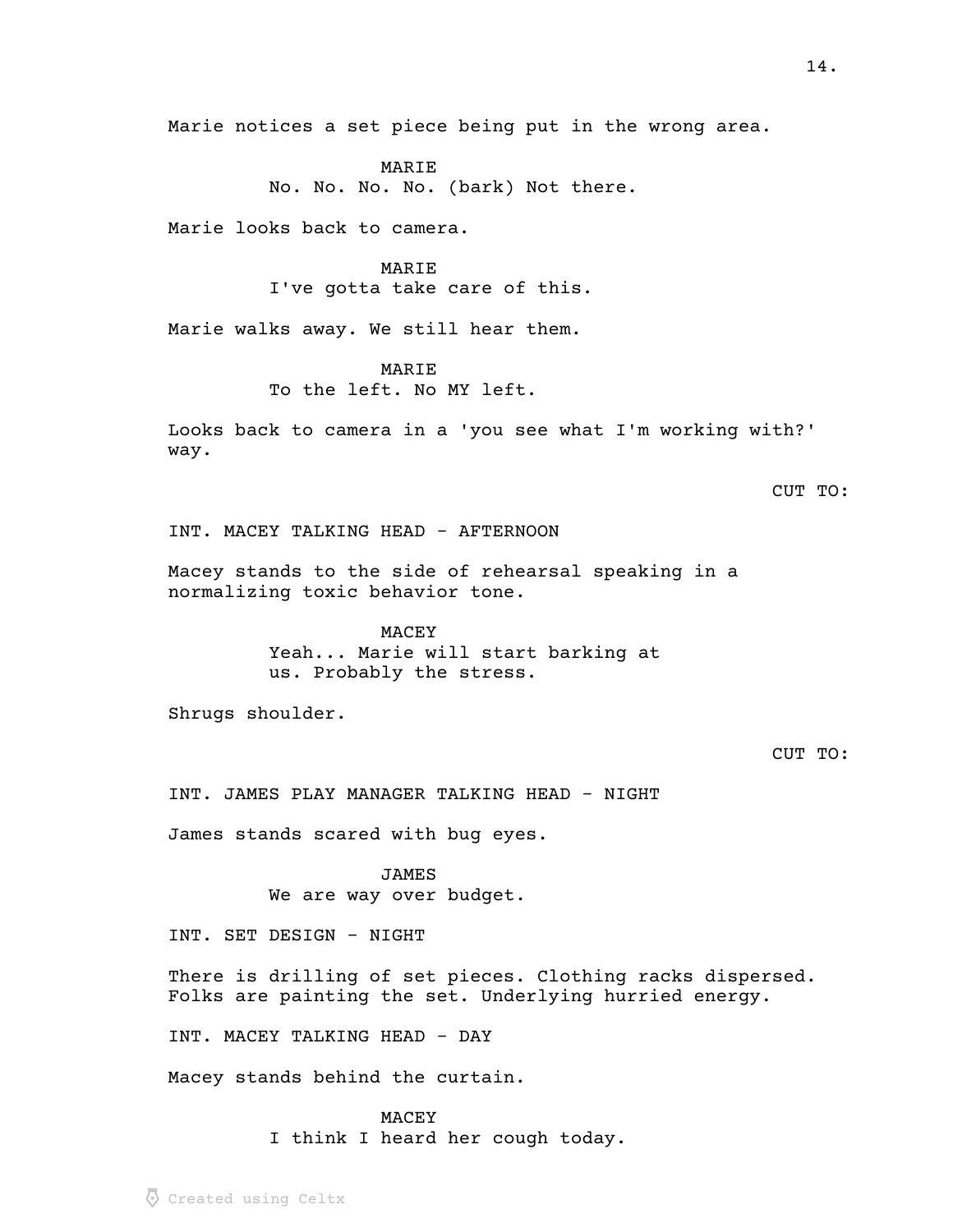Marie notices a set piece being put in the wrong area.

MARIE No. No. No. No. (bark) Not there.

Marie looks back to camera.

## MARIE

I've gotta take care of this.

Marie walks away. We still hear them.

# MARIE

To the left. No MY left.

Looks back to camera in a 'you see what I'm working with?' way.

# CUT TO:

INT. MACEY TALKING HEAD - AFTERNOON

Macey stands to the side of rehearsal speaking in a normalizing toxic behavior tone.

# MACEY Yeah... Marie will start barking at us. Probably the stress.

Shrugs shoulder.

# CUT TO:

INT. JAMES PLAY MANAGER TALKING HEAD - NIGHT

James stands scared with bug eyes.

JAMES We are way over budget.

INT. SET DESIGN - NIGHT

There is drilling of set pieces. Clothing racks dispersed. Folks are painting the set. Underlying hurried energy.

INT. MACEY TALKING HEAD - DAY

Macey stands behind the curtain.

MACEY I think I heard her cough today.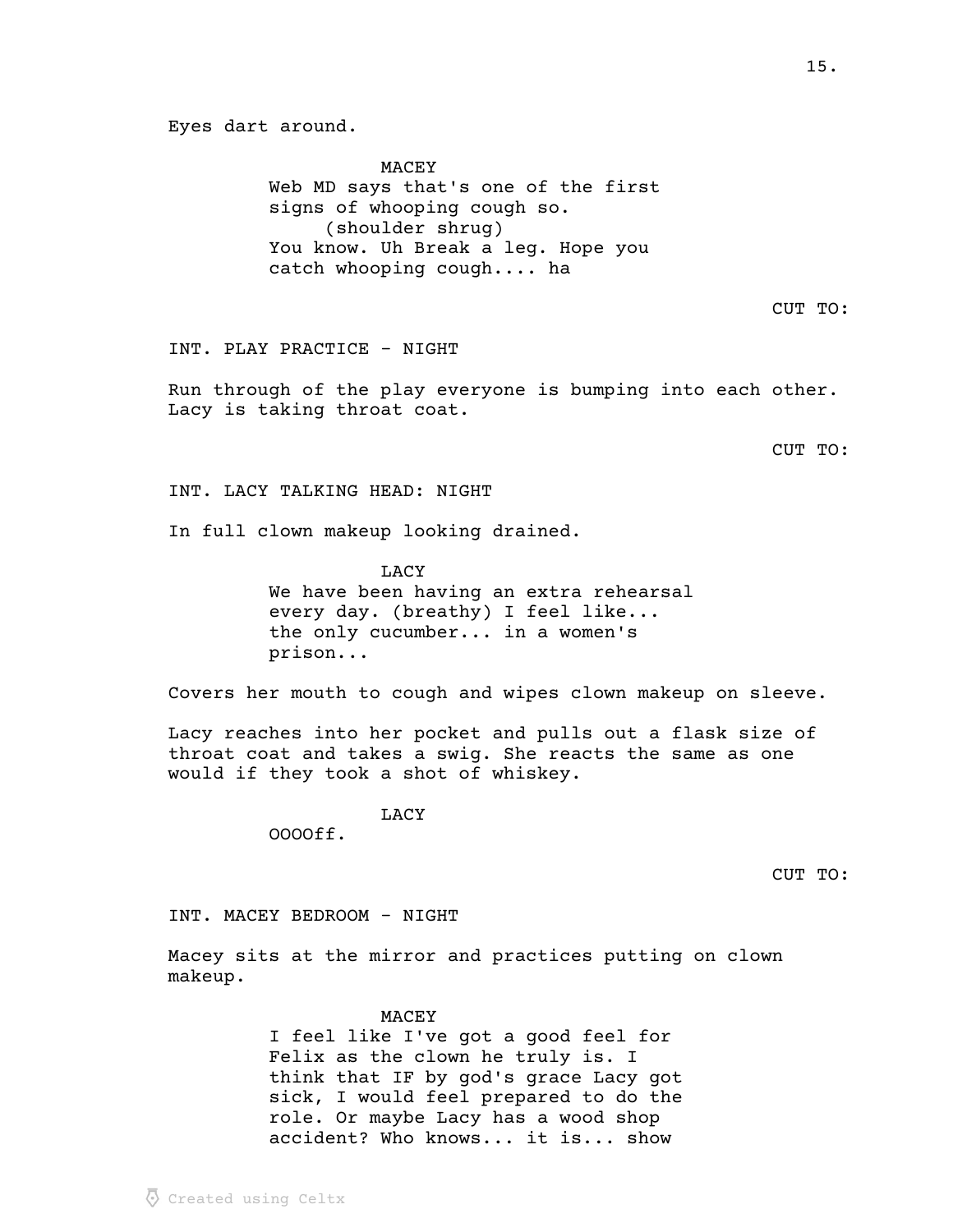Eyes dart around.

MACEY Web MD says that's one of the first signs of whooping cough so. (shoulder shrug) You know. Uh Break a leg. Hope you catch whooping cough.... ha

INT. PLAY PRACTICE - NIGHT

Run through of the play everyone is bumping into each other. Lacy is taking throat coat.

CUT TO:

INT. LACY TALKING HEAD: NIGHT

In full clown makeup looking drained.

LACY We have been having an extra rehearsal every day. (breathy) I feel like... the only cucumber... in a women's prison...

Covers her mouth to cough and wipes clown makeup on sleeve.

Lacy reaches into her pocket and pulls out a flask size of throat coat and takes a swig. She reacts the same as one would if they took a shot of whiskey.

LACY

OOOOff.

CUT TO:

INT. MACEY BEDROOM - NIGHT

Macey sits at the mirror and practices putting on clown makeup.

MACEY

I feel like I've got a good feel for Felix as the clown he truly is. I think that IF by god's grace Lacy got sick, I would feel prepared to do the role. Or maybe Lacy has a wood shop accident? Who knows... it is... show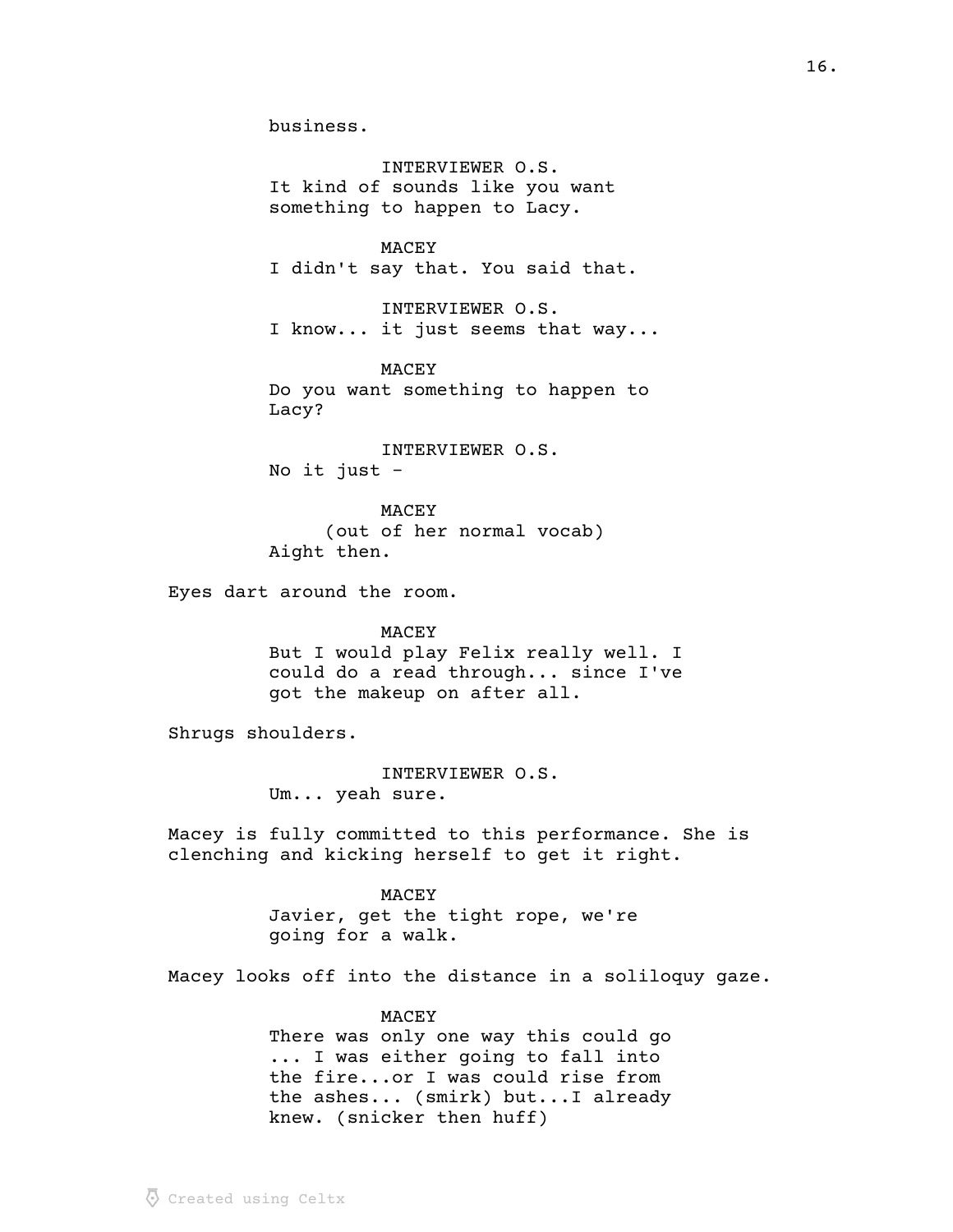INTERVIEWER O.S. It kind of sounds like you want something to happen to Lacy.

MACEY I didn't say that. You said that.

INTERVIEWER O.S. I know... it just seems that way...

MACEY Do you want something to happen to Lacy?

INTERVIEWER O.S. No it just -

MACEY (out of her normal vocab) Aight then.

Eyes dart around the room.

#### MACEY

But I would play Felix really well. I could do a read through... since I've got the makeup on after all.

Shrugs shoulders.

INTERVIEWER O.S. Um... yeah sure.

Macey is fully committed to this performance. She is clenching and kicking herself to get it right.

> MACEY Javier, get the tight rope, we're going for a walk.

Macey looks off into the distance in a soliloquy gaze.

MACEY There was only one way this could go ... I was either going to fall into the fire...or I was could rise from the ashes... (smirk) but...I already knew. (snicker then huff)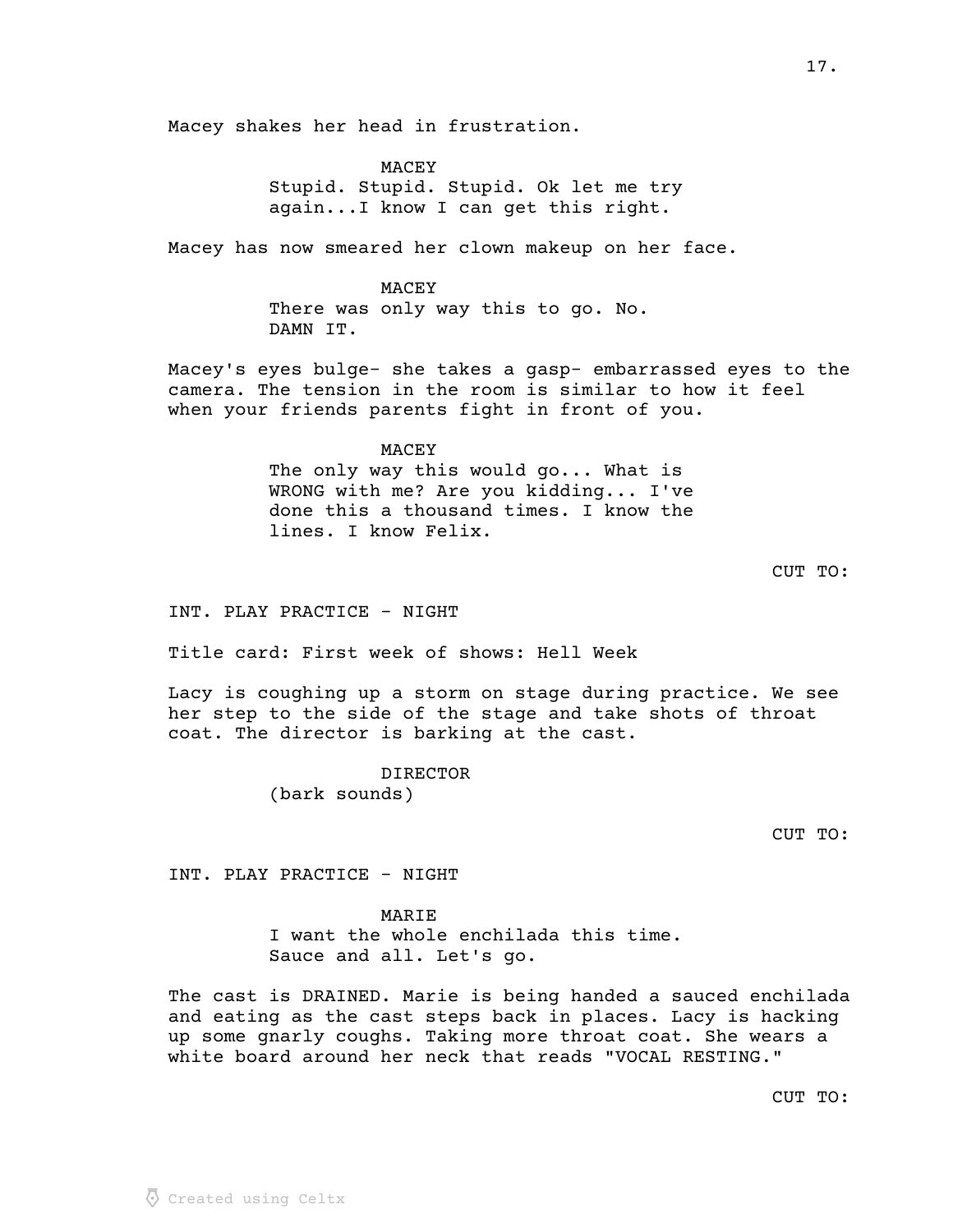Macey shakes her head in frustration.

MACEY Stupid. Stupid. Stupid. Ok let me try again...I know I can get this right.

Macey has now smeared her clown makeup on her face.

MACEY There was only way this to go. No. DAMN IT.

Macey's eyes bulge- she takes a gasp- embarrassed eyes to the camera. The tension in the room is similar to how it feel when your friends parents fight in front of you.

> MACEY The only way this would go... What is WRONG with me? Are you kidding... I've done this a thousand times. I know the lines. I know Felix.

CUT TO:

INT. PLAY PRACTICE - NIGHT

Title card: First week of shows: Hell Week

Lacy is coughing up a storm on stage during practice. We see her step to the side of the stage and take shots of throat coat. The director is barking at the cast.

> DIRECTOR (bark sounds)

CUT TO:

INT. PLAY PRACTICE - NIGHT

**MARTE** I want the whole enchilada this time. Sauce and all. Let's go.

The cast is DRAINED. Marie is being handed a sauced enchilada and eating as the cast steps back in places. Lacy is hacking up some gnarly coughs. Taking more throat coat. She wears a white board around her neck that reads "VOCAL RESTING."

CUT TO: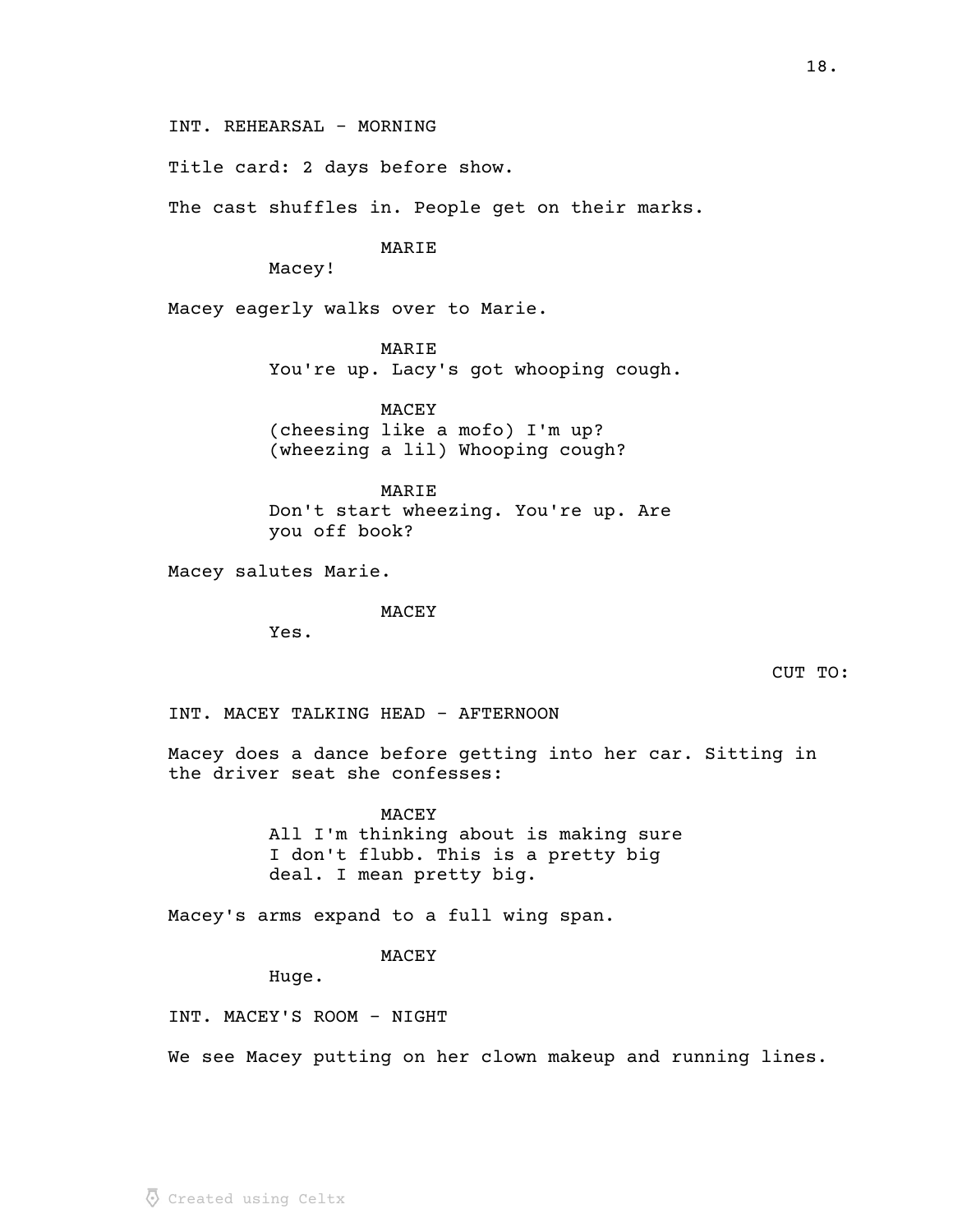INT. REHEARSAL - MORNING

Title card: 2 days before show.

The cast shuffles in. People get on their marks.

# **MARTE**

Macey!

Macey eagerly walks over to Marie.

MARIE

You're up. Lacy's got whooping cough.

MACEY (cheesing like a mofo) I'm up? (wheezing a lil) Whooping cough?

MARIE Don't start wheezing. You're up. Are you off book?

Macey salutes Marie.

MACEY

Yes.

CUT TO:

INT. MACEY TALKING HEAD - AFTERNOON

Macey does a dance before getting into her car. Sitting in the driver seat she confesses:

> MACEY All I'm thinking about is making sure I don't flubb. This is a pretty big deal. I mean pretty big.

Macey's arms expand to a full wing span.

MACEY

Huge.

INT. MACEY'S ROOM - NIGHT

We see Macey putting on her clown makeup and running lines.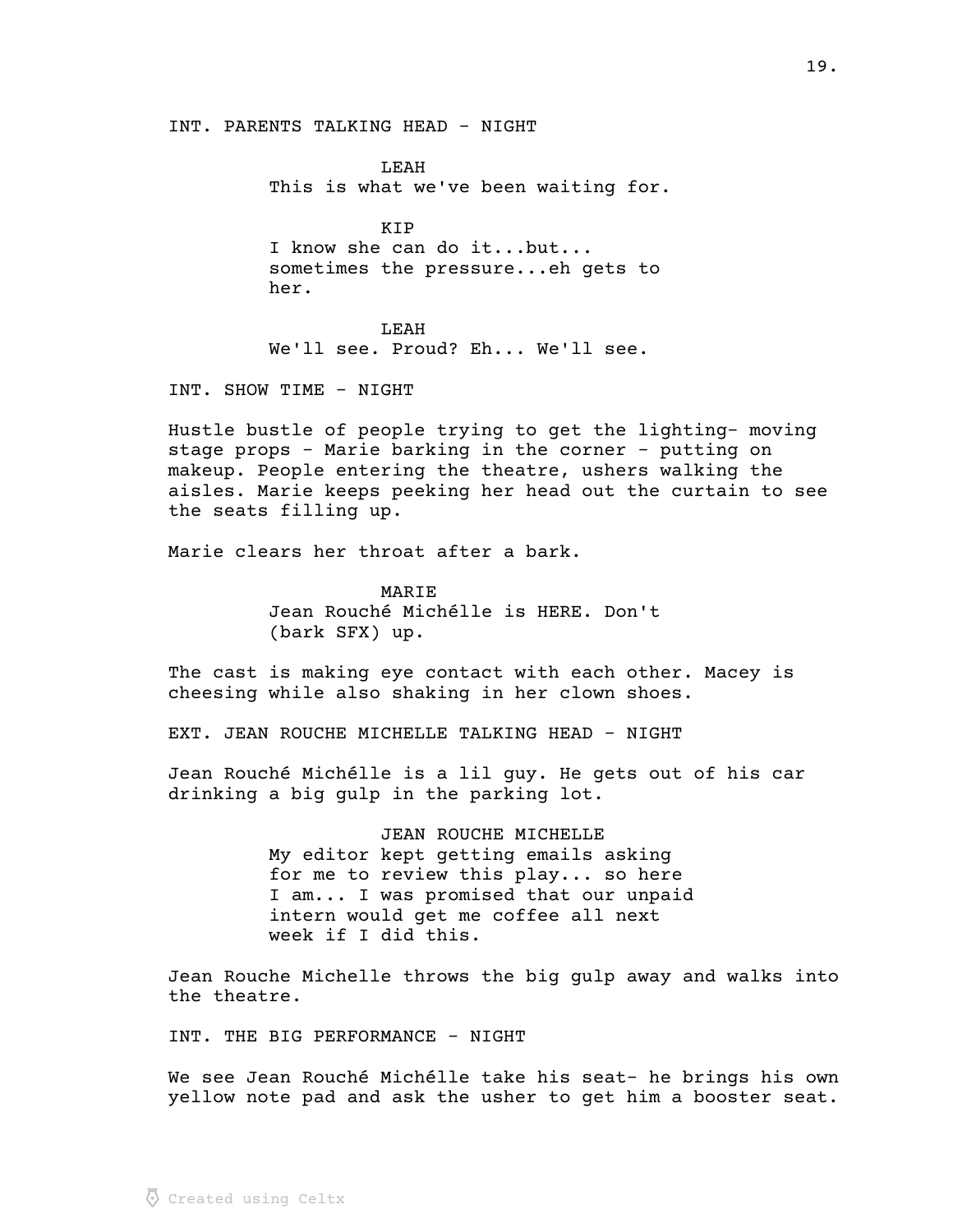INT. PARENTS TALKING HEAD - NIGHT

LEAH This is what we've been waiting for.

KIP I know she can do it...but... sometimes the pressure...eh gets to her.

LEAH We'll see. Proud? Eh... We'll see.

INT. SHOW TIME - NIGHT

Hustle bustle of people trying to get the lighting- moving stage props - Marie barking in the corner - putting on makeup. People entering the theatre, ushers walking the aisles. Marie keeps peeking her head out the curtain to see the seats filling up.

Marie clears her throat after a bark.

MARIE Jean Rouché Michélle is HERE. Don't (bark SFX) up.

The cast is making eye contact with each other. Macey is cheesing while also shaking in her clown shoes.

EXT. JEAN ROUCHE MICHELLE TALKING HEAD - NIGHT

Jean Rouché Michélle is a lil guy. He gets out of his car drinking a big gulp in the parking lot.

> JEAN ROUCHE MICHELLE My editor kept getting emails asking for me to review this play... so here I am... I was promised that our unpaid intern would get me coffee all next week if I did this.

Jean Rouche Michelle throws the big gulp away and walks into the theatre.

INT. THE BIG PERFORMANCE - NIGHT

We see Jean Rouché Michélle take his seat- he brings his own yellow note pad and ask the usher to get him a booster seat.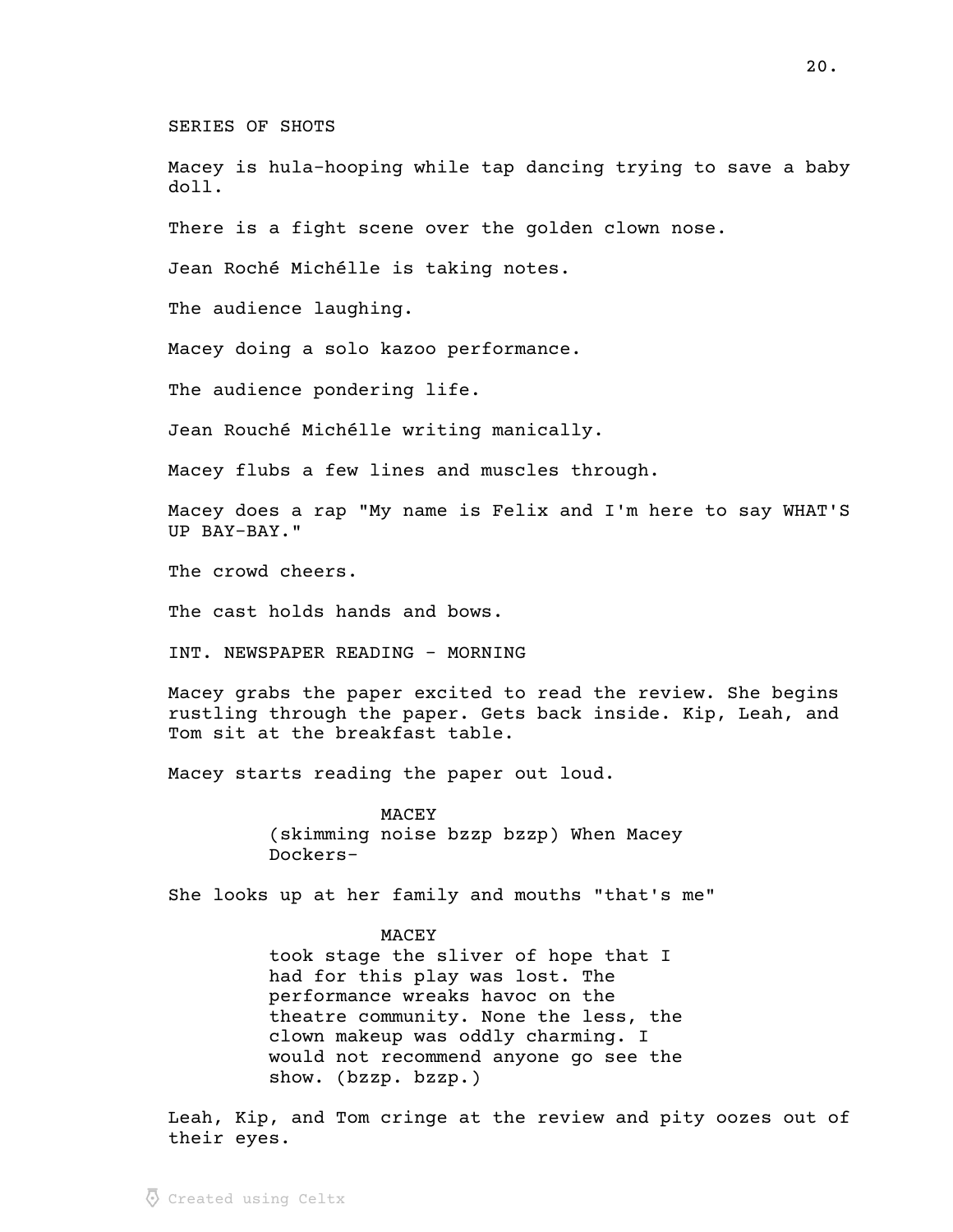SERIES OF SHOTS

Macey is hula-hooping while tap dancing trying to save a baby doll.

There is a fight scene over the golden clown nose.

Jean Roché Michélle is taking notes.

The audience laughing.

Macey doing a solo kazoo performance.

The audience pondering life.

Jean Rouché Michélle writing manically.

Macey flubs a few lines and muscles through.

Macey does a rap "My name is Felix and I'm here to say WHAT'S UP BAY-BAY."

The crowd cheers.

The cast holds hands and bows.

INT. NEWSPAPER READING - MORNING

Macey grabs the paper excited to read the review. She begins rustling through the paper. Gets back inside. Kip, Leah, and Tom sit at the breakfast table.

Macey starts reading the paper out loud.

MACEY (skimming noise bzzp bzzp) When Macey Dockers-

She looks up at her family and mouths "that's me"

MACEY took stage the sliver of hope that I had for this play was lost. The performance wreaks havoc on the theatre community. None the less, the clown makeup was oddly charming. I would not recommend anyone go see the show. (bzzp. bzzp.)

Leah, Kip, and Tom cringe at the review and pity oozes out of their eyes.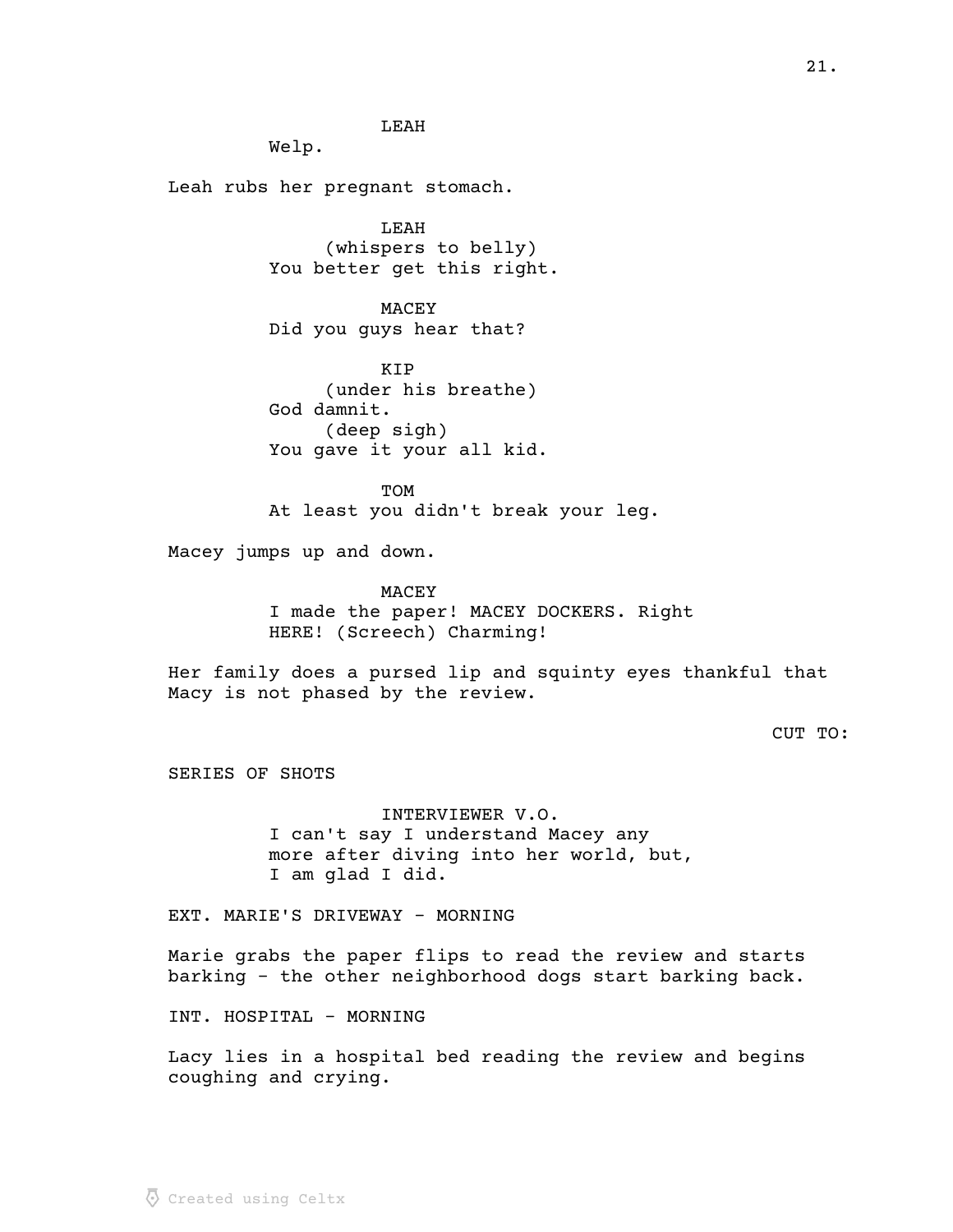LEAH

Welp.

Leah rubs her pregnant stomach.

LEAH (whispers to belly) You better get this right.

MACEY Did you guys hear that?

KIP (under his breathe) God damnit. (deep sigh) You gave it your all kid.

TOM At least you didn't break your leg.

Macey jumps up and down.

MACEY I made the paper! MACEY DOCKERS. Right HERE! (Screech) Charming!

Her family does a pursed lip and squinty eyes thankful that Macy is not phased by the review.

CUT TO:

SERIES OF SHOTS

INTERVIEWER V.O. I can't say I understand Macey any more after diving into her world, but, I am glad I did.

EXT. MARIE'S DRIVEWAY - MORNING

Marie grabs the paper flips to read the review and starts barking - the other neighborhood dogs start barking back.

INT. HOSPITAL - MORNING

Lacy lies in a hospital bed reading the review and begins coughing and crying.